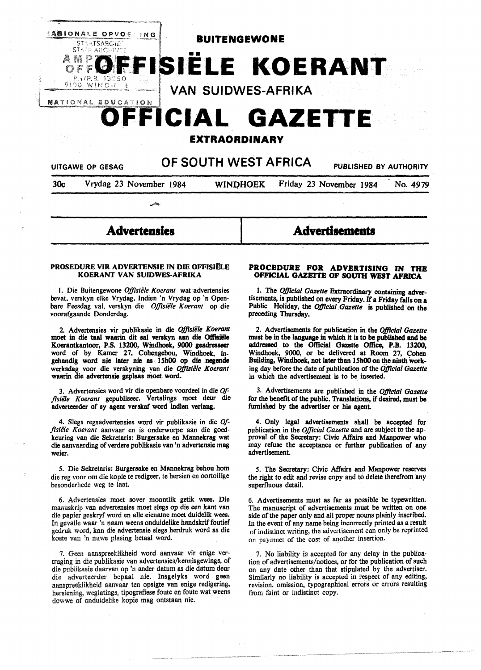

30c Vrydag 23 November 1984 **WINOHOEK** Friday 23 November 1984 No. 4979

# **Advertensles**

-"""

#### **PROSEDURE VIR ADVERTENSIE IN DIE OFFISIELE KOERANT VAN SUIDWES-AFRIKA**

1. Die Buitengewone *Offisiële Koerant* wat advertensies bevat. verskyn elke Vrydag. lndien 'n Vrydag op 'n Openbare Feesdag val, verskyn die *Offisiële Koerant* op die voorafgaande Donderdag.

2. Advertensies vir publikasie in die *Of]islile Koerant*  moet in die taal waarin dit sal verskyn aan die Offisiële Koerantkantoor, P.S. 13200, Windhoek, **9000 geadresseer**  word of by Kamer 27, Cohengebou, Windhoek, ingehandig word nie later nie as l 5h00 op die negende werksdag voor die verskyning van die *OJ]lsiele Koerant*  waarin die advertensie geplaas moet word.

3. Advertensies word vir die openbare voordeel in die *Of*fisiële Koerant gepubliseer. Vertalings moet deur die adverteerder of sy agent verskaf word indien verlang.

4. Slegs regsadvertensies word vir publikasie in die *Offisie1e Koerant* aanvaar en is onderworpe aan die goedkeuring van die Sekretaris: Burgersake en Mannekrag wat die aanvaarding of verdere publikasie van 'n advertensie mag weier.

*5.* Die Sekretaris: Burgersake en Mannekrag behou hom die reg voor om die kopie te redigeer, te hersien en oortollige besonderhede weg te laat.

6. Advertensies moet sover moontlik getik wees. Die manuskrip van advertensies moet slegs op die een kant van die papier geskryf word en alle eiename moet duidelik wees. In gevalle waar 'n naam weens onduidelike handskrif foutief gedruk word, kan die advertensie slegs herdruk word as die koste van 'n nuwe plasing betaal word.

7. Geen aanspreeklikheid word aanvaar vir enige vertraging in die publikasie van advertensies/kennisgewings, of die publikasie daarvan op 'n ander datum as die datum deur die adverteerder bepaal nie. Insgelyks word geen aanspreeklikheid aanvaar ten opsigte van enige redigering, hersiening, weglatings, tipografiese foute en foute wat weens dowwe of onduidelike kopie mag ontstaan nie.

#### **PROCEDUR8 FOR ADVERTISING IN THE OFFICIAL GAZETTE OF SOUTH WEST AFRICA**

**Advertisements** 

1. The *Official Gazette* Extraordinary containing advertisements, is published on every Friday. If a Friday falls on a Public Holiday, the *Official Gazette* is published on the preceding Thursday.

2. Advertisements for publication in the *OJ]lcial Gazette*  must **be** in the language in which it is to be published **and be**  addressed to the Official Gazette Office, **P.B.** 13200, Windhoek, 9000, or be delivered at Room 27, Cohen Building, Windhoek, not later than 15h00 on the ninth working day before the date of publication of the *Official Gazette*  in which the advertisement is to be inserted.

3. Advertisements are published in the *OjJicial Gazette*  for the benefit of the public. Translations, if desired, must be furnished by the advertiser or his agent

4. Only **legal** advertisements shall be accepted for publication in the *OJ]lcial Gazette* and are subject to the approval of the **Secretary:** Civic Affairs and **Manpower** who may refuse the acceptance or further publication of any advertisement.

*5.* The Secretary: Civic Affairs and Manpower reserves the right to edit and revise copy and to delete therefrom any superfluous detail.

6. Advertisements must as far as possible be typewritten. The manuscript of advertisements must be written on one side of the paper only and all proper nouns plainly inscribed. In the event of any name being incorrectly printed as a result of indistinct writing, the advertisement can only be reprinted on paymnet of the cost of another insertion.

7. No liability is accepted for any delay in the publication of advertisements/notices, or for the publication of such on any date other than that stipulated by the advertiser. Similarly no liability is accepted in respect of any editing, revision, omission, typographical errors or errors resulting from faint or indistinct copy.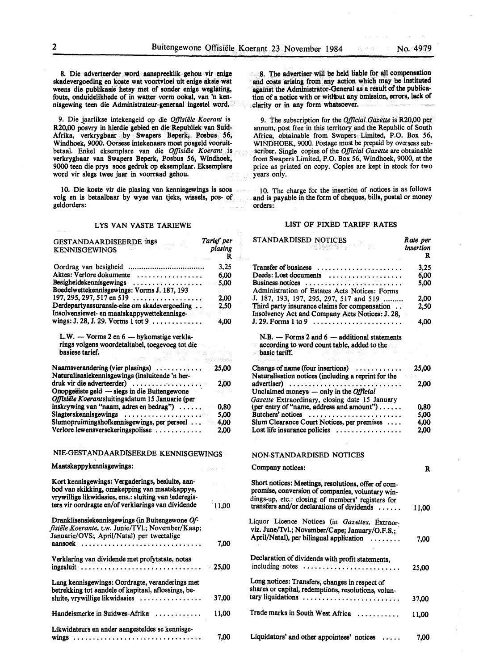8. Die adverteerder word aanspreeklik gehou vir enige skadevergoeding en koste wat voortvloei uit enige aksie wat weens die publikasie hetsy met of sonder enige weglating, foute, onduidelikhede of in watter vorm ookal, van 'n kennisgewing teen die Administrateur-generaal ingestel word.

9. Die jaarlikse intekengeld op die *Offisiële Koerant* is R20,00 posvry in hierdie gebied en die Republiek van Suid-Afrika, verkrygbaar by Swapers Beperk, Posbus 56, Windhoek, 9000. Oorsese intekenaars moet posgeld vooruitbetaal. Enkel eksemplare van die Offisiële Koerant is verkrygbaar van Swapers Beperk, Posbus 56, Windhoek, 9000 teen die prys soos gedruk op eksemplaar. Eksemplare word vir slegs twee jaar in voorraad gehou.

10. Die koste vir die plasing van kennisgewings is soos volg en is betaalbaar by wyse van tjeks, wissels, pos- of geldorders:

#### LYS VAN VASTE TARIEWE

| GESTANDAARDISEERDE ings<br><b>KENNISGEWINGS</b>                                                                                                                                                                                                                                                                                                                                                                                                                                                             | Tarief per<br>plasing<br>R |
|-------------------------------------------------------------------------------------------------------------------------------------------------------------------------------------------------------------------------------------------------------------------------------------------------------------------------------------------------------------------------------------------------------------------------------------------------------------------------------------------------------------|----------------------------|
|                                                                                                                                                                                                                                                                                                                                                                                                                                                                                                             | 3,25                       |
| Aktes: Verlore dokumente<br>. <b>.</b>                                                                                                                                                                                                                                                                                                                                                                                                                                                                      | 6,00                       |
| Besigheidskennisgewings                                                                                                                                                                                                                                                                                                                                                                                                                                                                                     | 5,00                       |
| Boedelwettekennisgewings: Vorms J. 187, 193                                                                                                                                                                                                                                                                                                                                                                                                                                                                 |                            |
| $197, 295, 297, 517$ en $519$                                                                                                                                                                                                                                                                                                                                                                                                                                                                               | 2,00                       |
| Derdepartyassuransie-eise om skadevergoeding                                                                                                                                                                                                                                                                                                                                                                                                                                                                | 2.50                       |
| Insolvensiewet- en maatskappywettekennisge-                                                                                                                                                                                                                                                                                                                                                                                                                                                                 |                            |
| wings: J. 28, J. 29. Vorms $1$ tot $9$                                                                                                                                                                                                                                                                                                                                                                                                                                                                      | $-4,00$                    |
| L.W. - Vorms 2 en 6 - bykomstige verkla-<br>rings volgens woordetaltabel, toegevoeg tot die<br>basiese tarief.<br>rigis, ne ražimiš                                                                                                                                                                                                                                                                                                                                                                         |                            |
|                                                                                                                                                                                                                                                                                                                                                                                                                                                                                                             | hes critics                |
| Naamsverandering (vier plasings)                                                                                                                                                                                                                                                                                                                                                                                                                                                                            | 25,00                      |
| Naturalisasiekennisgewings (insluitende 'n her-                                                                                                                                                                                                                                                                                                                                                                                                                                                             |                            |
| druk vir die adverteerder)                                                                                                                                                                                                                                                                                                                                                                                                                                                                                  | 2.00                       |
| Onopgeëiste geld — slegs in die Buitengewone                                                                                                                                                                                                                                                                                                                                                                                                                                                                |                            |
| Offisiële Koerantsluitingsdatum 15 Januarie (per                                                                                                                                                                                                                                                                                                                                                                                                                                                            |                            |
| inskrywing van "naam, adres en bedrag")                                                                                                                                                                                                                                                                                                                                                                                                                                                                     | 0,80                       |
| Slagterskennisgewings<br>$\mathbf{1}^{\prime}\mathbf{1}^{\prime}\mathbf{1}^{\prime}\mathbf{1}^{\prime}\mathbf{1}^{\prime}\mathbf{1}^{\prime}\mathbf{1}^{\prime}\mathbf{1}^{\prime}\mathbf{1}^{\prime}\mathbf{1}^{\prime}\mathbf{1}^{\prime}\mathbf{1}^{\prime}\mathbf{1}^{\prime}\mathbf{1}^{\prime}\mathbf{1}^{\prime}\mathbf{1}^{\prime}\mathbf{1}^{\prime}\mathbf{1}^{\prime}\mathbf{1}^{\prime}\mathbf{1}^{\prime}\mathbf{1}^{\prime}\mathbf{1}^{\prime}\mathbf{1}^{\prime}\mathbf{1}^{\prime}\mathbf{$ | 5.00                       |
| Slumopruimingshofkennisgewings, per perseel                                                                                                                                                                                                                                                                                                                                                                                                                                                                 | 4,00                       |
| Verlore lewensversekeringspolisse                                                                                                                                                                                                                                                                                                                                                                                                                                                                           | 2.00                       |
| NIE-GESTANDAARDISEERDE KENNISGEWINGS<br>Maatskappykennisgewings:                                                                                                                                                                                                                                                                                                                                                                                                                                            |                            |
| Kort kennisgewings: Vergaderings, besluite, aan-<br>bod van skikking, omskepping van maatskappye,<br>vrywillige likwidasies, ens.: sluiting van lederegis-<br>ters vir oordragte en/of verklarings van dividende                                                                                                                                                                                                                                                                                            | 11.00                      |
| Dranklisensiekennisgewings (in Buitengewone Of-<br>fisiële Koerante, t.w. Junie/TVl.; November/Kaap;<br>Januarie/OVS; April/Natal) per tweetalige                                                                                                                                                                                                                                                                                                                                                           |                            |
| aansoek                                                                                                                                                                                                                                                                                                                                                                                                                                                                                                     | 7,00                       |
| Verklaring van dividende met profytstate, notas<br>ingesluit                                                                                                                                                                                                                                                                                                                                                                                                                                                | - 25.00                    |
| Lang kennisgewings: Oordragte, veranderings met<br>betrekking tot aandele of kapitaal, aflossings, be-<br>sluite, vrywillige likwidasies                                                                                                                                                                                                                                                                                                                                                                    | 37,00                      |
| Handelsmerke in Suidwes-Afrika                                                                                                                                                                                                                                                                                                                                                                                                                                                                              | 11,00                      |
| Likwidateurs en ander aangesteldes se kennisge-<br>$wings$                                                                                                                                                                                                                                                                                                                                                                                                                                                  | 7,00                       |

8. The advertiser will be held liable for all compensation and costs **arising** from any action which may be instituted against the Administrator-General as a result of the publication of a notice with or without any omission, errors, lack of clarity or in any form **whatsoever.** 

9. The subscription for the *Official Gazette* is R20,00 per annum, post free in this territory and the Republic of South Africa, obtainable from Swapers Limited, P.O. Box 56, WINDHOEK, 9000. Postage must be prepaid by overseas subscriber. Single copies of the *Official Gazette* are obtainable from Swapers Limited, P.O. Box 56, Windhoek, 9000, at the price as printed on copy. Copies are kept in stock for two years only.

10. The charge for the insertion of notices is as follows and is payable in the form of cheques, bills, postal or money orders:

#### LIST OF FIXED TARIFF RATES

| STANDARDISED NOTICES<br>Wites                                                                                                                                                                              | Rate per<br>insertion<br>R |
|------------------------------------------------------------------------------------------------------------------------------------------------------------------------------------------------------------|----------------------------|
| Transfer of business<br>.                                                                                                                                                                                  | 3,25                       |
| Deeds: Lost documents                                                                                                                                                                                      | 6,00                       |
| Business notices                                                                                                                                                                                           | 5,00                       |
| Administration of Estates Acts Notices: Forms                                                                                                                                                              |                            |
| J. 187, 193, 197, 295, 297, 517 and 519                                                                                                                                                                    | 2,00                       |
| Third party insurance claims for compensation<br>Insolvency Act and Company Acts Notices: J. 28,                                                                                                           | 2,50                       |
|                                                                                                                                                                                                            | 4,00                       |
| $N.B.$ - Forms 2 and $6$ - additional statements<br>$\approx$ according to word count table, added to the<br>basic tariff.                                                                                 |                            |
| Change of name (four insertions)<br>.<br>Naturalisation notices (including a reprint for the                                                                                                               | 25,00                      |
| advertiser)                                                                                                                                                                                                | 2.00                       |
| Unclaimed moneys — only in the Official                                                                                                                                                                    |                            |
| Gazette Extraordinary, closing date 15 January                                                                                                                                                             |                            |
| (per entry of "name, address and amount")                                                                                                                                                                  | 0.80                       |
| Butchers' notices<br>Sium Clearance Court Notices, per premises                                                                                                                                            | 5,00<br>4,00               |
| Lost life insurance policies                                                                                                                                                                               | 2.00                       |
|                                                                                                                                                                                                            |                            |
| NON-STANDARDISED NOTICES                                                                                                                                                                                   |                            |
| Company notices:                                                                                                                                                                                           | R                          |
| Short notices: Meetings, resolutions, offer of com-<br>promise, conversion of companies, voluntary win-<br>dings-up, etc.: closing of members' registers for<br>transfers and/or declarations of dividends | 11,00                      |
| Liquor Licence Notices (in Gazettes, Extraor-                                                                                                                                                              |                            |
| viz. June/Tvl.; November/Cape; January/O.F.S.;                                                                                                                                                             |                            |
| April/Natal), per bilingual application<br>.                                                                                                                                                               | 7,00                       |
| Declaration of dividends with profit statements,<br>including notes                                                                                                                                        | 25,00                      |
| Long notices: Transfers, changes in respect of                                                                                                                                                             |                            |
| shares or capital, redemptions, resolutions, volun-<br>tary liquidations                                                                                                                                   | 37,00                      |
| Trade marks in South West Africa                                                                                                                                                                           | 11,00                      |
| Liquidators' and other appointees' notices                                                                                                                                                                 | 7.00                       |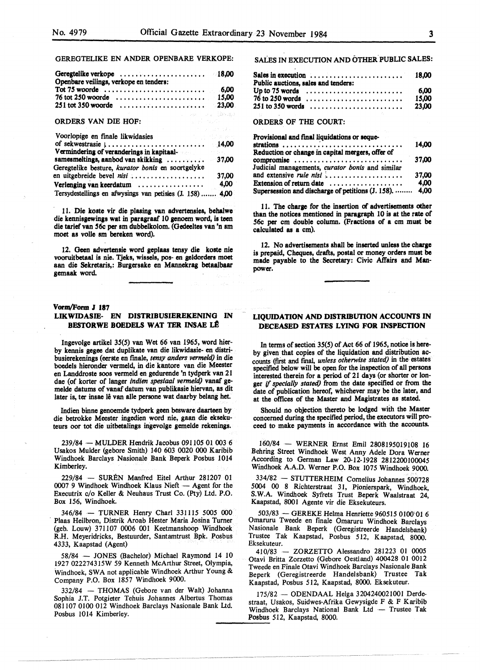GEREGTELIKE EN ANDER OPENBARE VERKOPE:

| Openbare veilings, verkope en tenders: |  |
|----------------------------------------|--|
|                                        |  |

## ORDERS VAN DIE HOF:

| Voorlopige en finale likwidasies                          |       |
|-----------------------------------------------------------|-------|
|                                                           |       |
| Vermindering of veranderings in kapitaal-                 |       |
| samesmeltings, aanbod van skikking  37,00                 |       |
| Geregtelike besture, kurator bonis en soortgelyke         |       |
| en uitgebreide bevel nisi                                 | 37,00 |
| Verlenging van keerdatum                                  | 4,00  |
| Tersydestellings en afwysings van petisies (J. 158)  4,00 |       |

11. Die koste vir die plasing van advertensies, behalwe die kennisgewings wat in paragraaf 10 genoem word, is teen die tarief van *56c* per sm dubbelkolom. (Gedeeltes van 'n am moet as voile sm bereken word).

12. Geen advertenaie word geplaas tenay die koste nie vooruitbetaal is nie. Tjeka, wiasels, pos- en geldorders moet aan die Sekretaris,: Burgersake en Mannekrag betaalbaar gemaak word.

#### Vonn/Form J 187

# **LIKWIDASIB- EN DISTRIBUSIEREKENING** IN **BESTORWE BOEDELS WAT TER INSAE LE**

Ingevolge artikel 35(5) van Wet 66 van 1965, word bierby kennis **gegee** dat duplikate van die likwidasie- en distribusierekenings ( eerste en rmale, *tensy anders vermeld)* in die boedels hieronder vermeld, in die kantore van die Meester en Landdroste soos vermeld en gedurende 'n tydperk van 21 dae (of korter of langer *indien speslaa/ vermeld)* vanaf gemelde datums of vanaf datum van publikasie hiervan, as dit later is, ter insae lê van alle persone wat daarby belang het.

Indien binne genoemde tydperk geen besware daarteen by die betrokke Meester ingedien word nie, gaan die eksekuteurs oor tot die uitbetalings ingevolge gemelde rekenings.

239/84 - MULDER Hendrik Jacobus 091105 01 003 6 Usakos Mulder (gebore Smith) 140 603 0020 000 Karibib Windhoek Barclays Nasionale Bank Beperk Posbus 1014 Kimberley.

229/84 - SUREN Manfred Eitel Arthur 281207 01 0007 9 Windhoek Windhoek Klaus Nieft - Agent for the Executrix c/o Keller & Neuhaus Trust Co. (Pty) Ltd. P.O. Box 156, Windhoek.

346/84 - TURNER Henry Chari 331115 5005 000 Plaas Heilbron, Distrik Aroab Hester Maria Josina Turner (geb. Louw) 371107 0006 001 Keetmanshoop Windhoek R.H. Meyeridricks, Bestuurder, Santamtrust Bpk. Posbus 4333, Kaapstad (Agent)

58/84 - JONES (Bachelor) Michael Raymond 14 10 1927 022274315W 59 Kenneth McArthur Street, Olympia, Windhoek, SWA not applicable Windhoek Arthur Young & Company P.O. Box 1857 Windhoek 9000.

332/84 - THOMAS (Gebore van der Walt) Johanna Sophia J.T. Potgieter Tehuis Johannes Albertus Thomas 081107 0100 012 Windhoek Barclays Nasionale Bank Ud. Posbus 1014 Kimberley.

SALES IN EXECUTION AND OTHER PUBLIC SALES:

| Sales in execution $\ldots \ldots \ldots \ldots \ldots \ldots \ldots$ 18,00   |  |  |       |
|-------------------------------------------------------------------------------|--|--|-------|
| Public auctions, sales and tenders:                                           |  |  |       |
| Up to 75 words $\ldots \ldots \ldots \ldots \ldots \ldots \ldots \ldots$ 6,00 |  |  |       |
| $76$ to 250 words $\ldots \ldots \ldots \ldots \ldots \ldots \ldots$          |  |  | 15.00 |
|                                                                               |  |  |       |
|                                                                               |  |  |       |

ORDERS OF THE COURT:

| Provisional and final liquidations or seque-            |       |
|---------------------------------------------------------|-------|
| strations                                               | 14.00 |
| Reduction or change in capital mergers, offer of        |       |
| compromise                                              | 37.00 |
| Judicial managements, curator bonis and similar         |       |
|                                                         | 37.00 |
| Extension of return date                                | 4,00  |
| Supersession and discharge of petitions (J. 158).  4,00 |       |

11. The charge for the insertion of advertisements other than the notices mentioned in paragraph 10 is at the rate of *56c* per cm double column. (Fractions of a cm must be calculated **as a** cm).

12. No advertisements shall be inserted unless the **charae**  is prepaid, Cheques, drafts, postal or money orders must be made payable to the Secretary: Civic Affairs and Manpower.

#### **LIQUIDATION AND DISTRIBUTION ACCOUNTS** IN **DECEASED ESTATES LYING FOR INSPECTION**

In terms of section 35(5) of Act 66 of 1965, notice is hereby given that copies of the liquidation and distribution accounts (first and final, *unless otherwise stated)* in the estates specified below will be open for the inspection of all persons interested therein for a period of 21 days (or shorter or longer if *specially stated)* from the date specified or from the date of publication hereof, whichever may be the later, and at the offices of the Master and Magistrates as stated.

Should no objection thereto be lodged with the Master concerned during the specified period, the executors will proceed to make payments in accordance with the accounts.

160/84 - WERNER Ernst Emil 2808195019108 16 Behring Street Windhoek West Anny Adele Dora Werner According to German Law 20-12-1928 2812200100045 Windhoek A.A.D. Werner P.O. Box 1075 Windhoek 9000.

334/82 - STUTTERHEIM Cornelius Johannes 500728 5004 00 8 Richterstraat 31, Pionierspark, Windhoek, S.W.A. Windhoek Syfrets Trust Beperk Waalstraat 24, Kaapstad, 8001 Agente vir die Eksekuteurs.

503/83 - GEREKE Helma Henriette 960515 0100 01 6 Omaruru Tweede en finale Omaruru Windhoek Barclays Nasionale Bank Beperk (Geregistreerde Handelsbank) Trustee Tak Kaapstad, Posbus 512, Kaapstad, 8000. Eksekuteur.

410/83 - ZORZETTO Alessandro 281223 01 0005 Otavi Britta Zorzetto (Gebore Oestland) 400428 01 0012 Tweede en Finale Otavi Windhoek Barclays Nasionale Bank Beperk (Geregistreerde Handelsbank) Trustee Tak Kaapstad, Posbus 512, Kaapstad, 8000. Eksekuteur.

175/82 - ODENDAAL Helga 3204240021001 Derdestraat, Usakos, Suidwes-Afrika Gewysigde F & F Karibib Windhoek Barclays National Bank Ltd - Trustee Tak Windhoek Barclays National<br>Posbus 512, Kaapstad, 8000.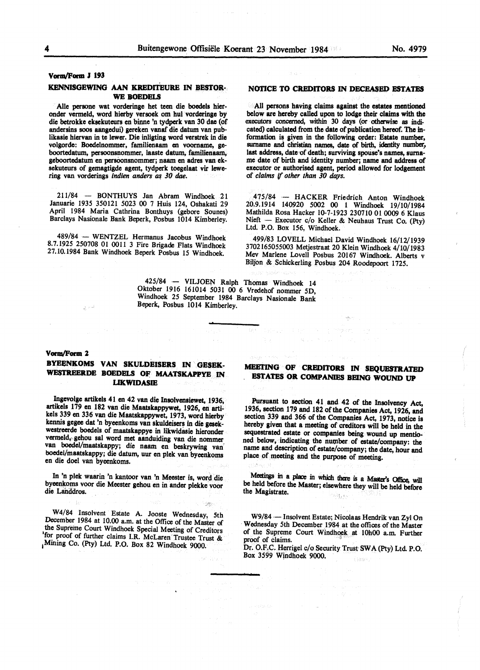#### **Vorm/Form J 193**

#### **KENNISGEWING AAN KREDITEURE IN BBSTOR· WE BOBDELS**

Aile persone wat vorderinge bet teen die boedels hieronder vermeld, word hierby versoek om hul vorderinge by die betrokke eksekuteurs en binne 'n tydperk van 30 dae (of andersins soos aangedui) gereken vanaf die datum van publikasie hiervan in te lewer. Die inligting word verstrek in die volgorde: Boedelnommer, familienaam en voorname, geboortedatum, persoonsnommer, laaste datum, familienaam, geboortedatum en persoonsnommer; naam en adres van eksekuteurs of gemagtigde agent, tydperk toegelaat vir lewering van vorderings *indien anders as 30 dae*.

211/84 - BONTHUYS Jan Abram Windhoek 21 Januarie 1935 350121 5023 00 7 Huis 124, Oshakati 29 April 1984 Maria Cathrina Bonthuys (gebore Sounes) Barclays Nasionale Bank Beperk, Posbus 1014 Kimberley.

489/84 - WENTZEL Hermanus Jacobus Windhoek 8.7.1925 250708 01 OOll 3 Fire Brigade Flats Windhoek 27.10.1984 Bank Windhoek Beperk Posbus 15 Windhoek.

> 425/84 - VILJOEN Ralph Thomas Windhoek 14 Oktober 1916 161014 5031 00 6 Vredehof nommer 5D, Windhoek 25 September 1984 Barclays Nasionale Bank Beperk, Posbus 1014 Kimberley.

#### **NOl'ICE TO CREDITORS** IN **DECEASED ESTATES**

All **persons having claims against the estates mentioned below are hereby called** upon to **lodge their claims with the**  executors concerned, within 30 days (or **otherwise as** indicated) calculated from the date of publication hereof. The information is given in the following order: Estate number, **surname and christian names, date or** birth, identity number, **last address, date·of death; surviving spouse's names, surna-** me date or birth and identity number; name and address of executor or authorised agent, period allowed for lodgement or *claims* If *other than 30 days.* 

475/84 - HACKER Friedrich Anton Windhoek 20.9.1914 140920 5002 00 1 Windhoek 19/10/1984 Mathilda Rosa Hacker 10-7-1923 230710 01 0009 6 Klaus Nieft - Executor c/o Keller & Neuhaus Trust Co. (Pty) Ltd. P.O. Box 156, Windhoek.

499/83 LOVELL Michael David Windhoek 16/12/1939 3702165055003 Metjestraat 20 Klein Windhoek 4/10/1983 Mev Marlene Lovell Posbus 20167 Windhoek. Alberts v Biljon & Schickerling Posbus 204 Roodepoort 1725.

# Vorm/Form 2

# **BYEENKOMS VAN SKULDEISERS** IN **GESEK-**WESTREERDE BOEDELS OF MAATSKAPPYE IN **LIK.WIDASIE**

lngevolge artikels 41 en 42 van die Insolvensiewet, 1936, artikels 179 en 182 van die Maatskappywet, 1926, en artikels 339 en 336 van die Maatskappywet, 1973, word hierby kennis **gegee** dat •n byeenkoms van skuldeisers in die **gesek**westreerde boedels of maatskappye in likwidasie hieronder vermeld,- gehou sat word met aanduiding van die nommer van boedel/maatskappy; die naam en beskrywing van· boedel/maatskappy; die datum. uur en plek van byeenkoms en die doel van byeenkoms.

In 'n plek waarin 'n kantoor van 'n Meester is, word die byeenkoms voor die Meester gehou en in ander plekke voor die Landdros.

W4/84 Insolvent Estate A. Jooste Wednesday, 5th December 1984 at 10.00 a.m. at the Office of the Master of the Supreme Court Windhoek Special Meeting of Creditors 1 for proof of further claims I.R. McLaren Trustee Trust & 1Mining Co. (Pty) Ltd. P.O. Box 82 Windhoek 9000.

## **MEETING OF CREDITORS** IN **SEQVBSTRATED ESTATES OR COMPANIES BEING WOUND UP**

Pursuant to section 41 and 42 of the Insolvency Act, 1936, section 179 and 182 of the Companies Act, 1926, and section 339 and 366 of the Companies Act, 1973, notice is hereby given that a meeting of creditors will be held in the sequestrated estate or companies being wound up mentioned below, indicating the number of estate/company: the name and description of estate/company; the date, hour and place of meeting and the purpose of meeting.

Meetings in a place in which there is a Master's Office, will be held before the Master; elsewhere they will be held before the Magistrate. 计传感型 机

W9/84 - Insolvent Estate; Nicolaas Hendrik van Zyl On Wednesday 5th December 1984 at the offices of the Master of the Supreme Court Windhoek at 10h00 a.m. Further proof of claims.

Dr. O.RC. Herrigel c/o Security Trust- **SW A** (Pty) Ltd **P.O.**  Box 3599 Wjndhoek 9000. Filmsen.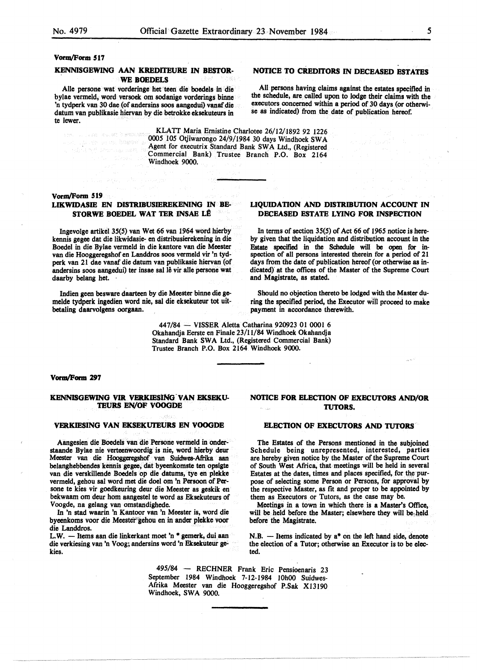#### **KENNISGEWING AAN KRBDITEURE** IN **BESTOR-WE BOEDELS**

Aile persone wat vorderinge bet teen die boedels in die bylae vermeld, word versoek om sodanige vorderings binne 'n tydperk van 30 dae (of andersins soos aangedui) vanaf die datum van publikasie hiervan by die betrokke eksekuteurs in te lewer.

# **NOTICE TO CREDITORS** IN **DECEASED ESTATES**

All persons having claims **against** the estates specified in the schedule, are called upon to lodge their claims with the executors concerned within a period of 30 days (or otherwise as indicated) from the date of publication hereof.

KLATT Maria Emistine Charlotee 26/12/.1892 92 1226 0005 105 Otjiwarongo 24/9/1984 30 days Windhoek SWA Agent for executrix Standard Bank **SW A** Ltd., (Registered Commercial Bank) Trustee Branch P.O. Box 2164 Windhoek 9000.

# vorm/Form 519

.<br>La vicció de esta familia a

# **LIKWIDASIE EN DISTRIBUSIEREKENING** IN **BE-STORWE BOEDEL WAT TER INSAE LÊ**

Ingevolge artikel 35(5) van Wet 66 van 1964 word hierby kennis gegee dat die likwidasie- en distribusierekening in die Boedel in die Bylae vermeld in die kantore van die Meester van die Hooggeregshof en Landdros soos vermeld vir 'n tydperk van 21 dae vanaf die datum van publikasie hiervan (of andersins soos aangedui) ter insae sal lê vir alle persone wat daarby belang het.

Indien geen besware daarteen by die Meester binne die gemelde tydperk ingedien word nie, sal die eksekuteur tot uitbetaling daarvolgens oorgaan.

### **LIQUIDATION AND DISTRIBUTION ACCOUNT** IN **DECEASED ESTATE LYING FOR INSPECTION**

In terms of section 35(5) of Act 66 of 1965 notice is hereby given that the liquidation and distribution account in the Estate specified in the Schedule will **be open** for inspection of all persons interested therein for a period of 21 days from the date of publication hereof (or otherwise as indicated} at the offices of the Master of the Supreme Court and Magistrate, as stated.

Should no objection thereto be lodged with the Master during the specified period, the Executor will proceed to make payment in accordance therewith.

447/84 - VISSER Aletta Catharina 920923 01 0001 6 Okahandja Eerste en Finale 23/11/84 Windhoek Okahandja Standard Bank SWA Ltd., (Registered Commercial Bank) Trustee Branch P.O. Box 2164 Windhoek 9000.

#### Vorm/Form 297

#### KENNISGEWING VIR VERKIESING VAN EKSEKU-**TEURS EN/OF VOOGDE**

#### **VF.RKIESING VAN EKSEKUI'EURS EN VOOGDE**

Aangesien die Boedels van die Persone vermeld in onderstaande Bylae nie verteenwoordig is nie, word hierby deur Meester van die Hooggeregshof van Suidwes-Afrika aan belanghebbendes kennis gegee, dat byeenkomste ten opsigte van die verskillende Boedels op die datums, tye en plekke vermeld, gehou sal word met die doel om 'n Persoon of Persone te kies vir goedkeuring deur die Meester as geskik en bekwaam om deur horn aangestel te word as Eksekuteurs of Voogde, na gelang van omstandighede.

In 'n stad waarin 'n Kantoor van 'n Meester is, word die byeenkoms voor die Meester gehou en in ander plekke voor die Landdros.

L.W. - Items aan die linkerkant moet 'n \* gemerk, dui aan die verkiesing van 'n Voog; andersins word 'n Eksekuteur gekies.

# **NOTICE FOR ELECTION OF EXECUTORS AND/OR TUTORS.**

#### **ELECTION OF EXECUTORS AND TUTORS**

The Estates of the Persons mentioned in the subjoined Schedule being unrepresented, interested, parties are hereby given notice by the Master of the Supreme Court of South West Africa, that meetings will be held in several Estates at the dates, times and places specified, for the purpose of selecting some Person or Persons, for approval by the respective Master, as fit and proper to be appointed by them as Executors or Tutors, as the case may be.

Meetings in a town in which there is a Master's Office, will be held before the Master; elsewhere they will be held before the Magistrate.

N.B. - Items indicated by  $a^*$  on the left hand side, denote the election of a Tutor; otherwise an Executor is to be elected.

495/84 - RECHNER Frank Eric Pensioenaris 23 September 1984 Windhoek 7-12-1984 10h00 Suidwes-Afrika Meester van die Hooggeregshof P.Sak Xl3190 Windhoek, SWA 9000.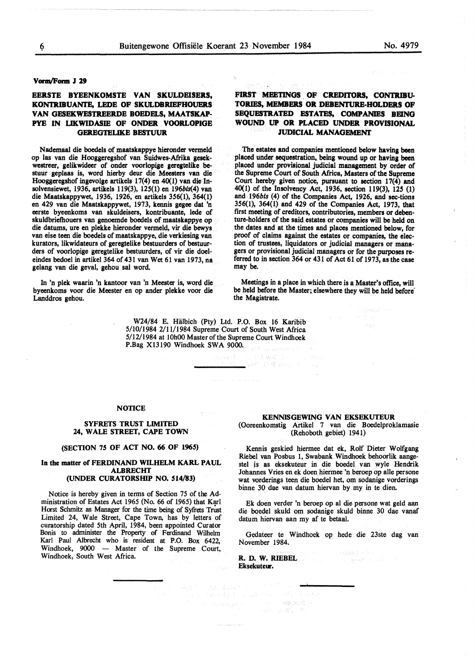#### **VOl'IQ/Form** *l* **29**

# **EERSTB BYEENKOMSTE VAN SKULDBISERS, KONTRIBUANTE, LEDE OF SKULDBRIEFHOUERS VAN GESEKWESTREERDE BOEDELS, MAATSKAP-PYE IN LIKWIDASIB OF ONDER VOORLOPIGE GEREGTBLIKE BESTUUR**

Nademaal die boedels of maatskappye hieronder vermeld op las van die Hooggeregshof van Suidwes-Afrika gesekwestreer, gelikwideer of onder voorlopige geregtelike bestuur geplaas is, word hierby deur die Meesters van die Hooggeregshof ingevolge artikels 17(4) en 40(1) van die Insolvensiewet, 1936, artikels 119(3), 125(1) en 196bls(4) van die Maatskappywet, 1936, 1926, en artikels 356(1), 364(1) en 429 van die Maatskappywet, 1973, kennis gegee dat 'n eerste byeenkoms van skuldeisers, kontribuante, lede of skuldbriethouers van genoemde boedels of maatskappye op die datums, ure en plekke hieronder vermeld, vir die bewys van eise teen die boedels of maatskappye, die verkiesing van kurators, likwidateurs of geregtelike bestuurders of bestuurders of voorlopige geregtelike bestuurders, of vir die doeleindes bedoel in artikel 364 of 431 van Wet 61 van 1973, na gelang van die geval, gehou sal word.

In 'n plek waarin 'n kantoor van 'n Meester is, word die byeenkoms voor die Meester en op ander plekke voor die Landdros gehou.

# FIRST MEETINGS OF CREDITORS, CONTRIBU-TORIES, MEMBERS OR DEBENTURE-HOLDERS OF **SEQUESTRATED ESTATES, COMPANIES BEING WOUND UP OR PLACED UNDER PROVISIONAL JUDICIAL MANAGEMBNI'**

The estates and companies mentioned below having been placed under sequestration, being wound up or having been placed under provisional judicial management by order of the Supreme Court of South Africa, Masters of the Supreme Court hereby given notice, pursuant to section 17(4) and 40(1) of the Insolvency Act, 1936, section 119(3), 125 (I) and *196bis* (4) of the Companies Act, 1926, and sec-tions 356(1), 364(1) and 429 of the Companies Act, 1973, that first meeting of creditors, contributories, members or **deben**ture-holders of the said estates or companies **will be** held on the dates and at the times and places mentioned below, for proof of claims against the estates or companies, the election of trustees, liquidators or judicial managers or managers or provisional judicial managers or for the purposes referred to in section 364 or 431 of Act 61 of 1973, as the case may be.

Meetings in a place in which there is a Master's office, will be held before the Master; elsewhere they will be held before' the Magistrate.

116948047 7177

W24/84 E. Hiilbich (Pty) Ltd. P.O. Box 16 Karibib 5/10/1984 2/11/1984 Supreme Court of South West Africa 5/12/1984 at 10h00 Master of the Supreme Court Windhoek P.Bag Xl3190 Windhoek SWA 9000.

> **6. 平安显 (20)** and 209 mar 1

#### **NOTICE**

#### **SYFRETS TRUST LIMITED 24, WALE STREET, CAPE TOWN**

## **(SECTION 75 OF ACT NO. 66 OF 1965)**

#### **In the matter of FERDINAND WILHELM KARL PAUL ALBRECHT (UNDER CURATORSHIP NO. 514/83)**

Notice is hereby given in tenns of Section 75 of the Administration of Estates Act 1965 (No. 66 of 1965) that Karl Horst Schmitz as Manager for the time being of Syfrets Trust Limited 24, Wale Street, Cape Town, has by letters of curatorship dated 5th April, 1984, been appointed Curator Bonis to administer the Property of Ferdinand Wilhehn Karl Paul Albrecht who is resident at P.O. Box 6422, Windhoek, 9000 - Master of the Supreme Court, Windhoek, South West Africa.

#### **KENNISGEWING VAN EKSEKUTEUR**  (Ooreenkomstig Artikel 7 van die Boedelproklamasie (Rehoboth gebiet) 1941)

Kennis geskied hiermee dat ek, Rolf Dieter Wolfgang Riebel van Posbus I, Swabank Windhoek behoorlik aangestel js as eksekuteur in die boedel van wyle Hendrik Johannes Vries en ek doen hiermee 'n beroep op alle persone wat vorderings teen die boedel het, om sodanige vorderings binne 30 dae van datum hiervan by my in te dien.

Ek doen verder 'n beroep op al die persone wat geld aan die boedel skuld om sodanige skuld binne 30 dae vanaf datum hiervan aan my af te betaal.

Gedateer te Windhoek op hede die 23ste dag van November 1984.

**R. D. W. RIEBEL Eksekuteur.**